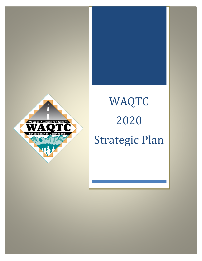

# WAQTC 2020 Strategic Plan

Strategic Plan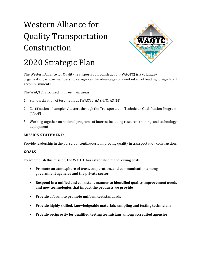

### 2020 Strategic Plan

The Western Alliance for Quality Transportation Construction (WAQTC) is a voluntary organization, whose membership recognizes the advantages of a unified effort leading to significant accomplishments.

The WAQTC is focused in three main areas:

- 1. Standardization of test methods (WAQTC, AASHTO, ASTM)
- 2. Certification of sampler / testers through the Transportation Technician Qualification Program (TTQP)
- 3. Working together on national programs of interest including research, training, and technology deployment

#### **MISSION STATEMENT:**

Provide leadership in the pursuit of continuously improving quality in transportation construction.

#### **GOALS**

To accomplish this mission, the WAQTC has established the following goals:

- **Promote an atmosphere of trust, cooperation, and communication among government agencies and the private sector**
- **Respond in a unified and consistent manner to identified quality improvement needs and new technologies that impact the products we provide**
- **Provide a forum to promote uniform test standards**
- **Provide highly skilled, knowledgeable materials sampling and testing technicians**
- **Provide reciprocity for qualified testing technicians among accredited agencies**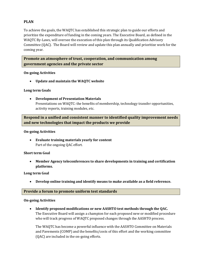#### **PLAN**

To achieve the goals, the WAQTC has established this strategic plan to guide our efforts and prioritize the expenditure of funding in the coming years. The Executive Board, as defined in the WAQTC By-Laws, will oversee the execution of this plan through its Qualification Advisory Committee (QAC). The Board will review and update this plan annually and prioritize work for the coming year.

**Promote an atmosphere of trust, cooperation, and communication among government agencies and the private sector**

#### **On-going Activities**

• **Update and maintain the WAQTC website**

#### **Long term Goals**

• **Development of Presentation Materials**  Presentations on WAQTC: the benefits of membership, technology transfer opportunities, activity reports, training modules, etc.

**Respond in a unified and consistent manner to identified quality improvement needs and new technologies that impact the products we provide**

#### **On-going Activities**

• **Evaluate training materials yearly for content** Part of the ongoing QAC effort.

#### **Short term Goal**

• **Member Agency teleconferences to share developments in training and certification platforms.**

#### **Long term Goal**

• **Develop online training and identify means to make available as a field reference.**

#### **Provide a forum to promote uniform test standards**

#### **On-going Activities**

• **Identify proposed modifications or new AASHTO test methods through the QAC.**  The Executive Board will assign a champion for each proposed new or modified procedure who will track progress of WAQTC proposed changes through the AASHTO process.

The WAQTC has become a powerful influence with the AASHTO Committee on Materials and Pavements (COMP) and the benefits/costs of this effort and the working committee (QAC) are included in the on-going efforts.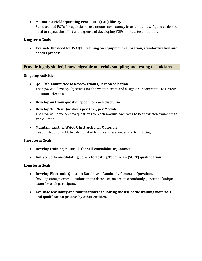#### • **Maintain a Field Operating Procedure (FOP) library**

Standardized FOPs for agencies to use creates consistency in test methods. Agencies do not need to repeat the effort and expense of developing FOPs or state test methods.

#### **Long term Goals**

• **Evaluate the need for WAQTC training on equipment calibration, standardization and checks process**

#### **Provide highly skilled, knowledgeable materials sampling and testing technicians**

#### **On-going Activities**

- **QAC Sub-Committee to Review Exam Question Selection** The QAC will develop objectives for the written exam and assign a subcommittee to review question selection.
- **Develop an Exam question 'pool' for each discipline**
- **Develop 3-5 New Questions per Year, per Module** The QAC will develop new questions for each module each year to keep written exams fresh and current.
- **Maintain existing WAQTC Instructional Materials** Keep Instructional Materials updated to current references and formatting.

#### **Short term Goals**

- **Develop training materials for Self-consolidating Concrete**
- **Initiate Self-consolidating Concrete Testing Technician (SCTT) qualification**

#### **Long term Goals**

- **Develop Electronic Question Database – Randomly Generate Questions** Develop enough exam questions that a database can create a randomly generated 'unique' exam for each participant.
- **Evaluate feasibility and ramifications of allowing the use of the training materials and qualification process by other entities.**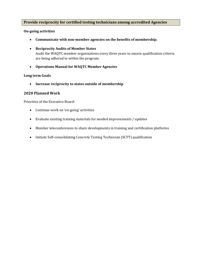#### **Provide reciprocity for certified testing technicians among accredited Agencies**

#### **On-going activities**

- **Communicate with non-member agencies on the benefits of membership.**
- **Reciprocity Audits of Member States**  Audit the WAQTC member organizations every three years to ensure qualification criteria are being adhered to within the program.
- **Operations Manual for WAQTC Member Agencies**

#### **Long term Goals**

• **Increase reciprocity to states outside of membership**

#### **2020 Planned Work**

Priorities of the Executive Board:

- Continue work on 'on-going' activities
- Evaluate existing training materials for needed improvements / updates
- Member teleconferences to share developments in training and certification platforms
- Initiate Self-consolidating Concrete Testing Technician (SCTT) qualification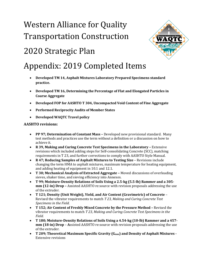

### 2020 Strategic Plan

### Appendix: 2019 Completed Items

- **Developed TM 14, Asphalt Mixtures Laboratory Prepared Specimens standard practice.**
- **Developed TM 16, Determining the Percentage of Flat and Elongated Particles in Coarse Aggregate**
- **Developed FOP for AASHTO T 304, Uncompacted Void Content of Fine Aggregate**
- **Performed Reciprocity Audits of Member States**
- **Developed WAQTC Travel policy**

#### **AASHTO revisions:**

- **PP 97; Determination of Constant Mass –** Developed new provisional standard. Many test methods and practices use the term without a definition or a discussion on how to achieve it.
- **R 39, Making and Curing Concrete Test Specimens in the Laboratory –** Extensive revisions which included adding steps for Self-consolidating Concrete (SCC), matching requirements in T 23, and further corrections to comply with AASHTO Style Manual.
- **R 47; Reducing Samples of Asphalt Mixtures to Testing Size** Revisions include changing the term HMA to asphalt mixtures, maximum temperature for heating equipment, and adding heating of equipment in 10.1 and 12.1.
- **T 30; Mechanical Analysis of Extracted Aggregate –** Moved discussions of overloading sieves, shaker time, and sieving efficiency into Annexes.
- **T 99; Moisture-Density Relations of Soils Using a 2.5-kg (5.5-lb) Rammer and a 305 mm (12-in) Drop –** Assisted AASHTO re:source with revision proposals addressing the use of the extruder.
- **T 121; Density (Unit Weight), Yield, and Air Content (Gravimetric) of Concrete** Revised the vibrator requirements to match *T 23, Making and Curing Concrete Test Specimens in the Field.*
- **T 152; Air Content of Freshly Mixed Concrete by the Pressure Method –** Revised the vibrator requirements to match *T 23, Making and Curing Concrete Test Specimens in the Field.*
- **T 180; Moisture-Density Relations of Soils Using a 4.54-kg (10-lb) Rammer and a 457 mm (18-in) Drop** – **A**ssisted AASHTO re:source with revision proposals addressing the use of the extruder.
- T 209; Theoretical Maximum Specific Gravity (G<sub>mm</sub>) and Density of Asphalt Mixtures -Extensive revisions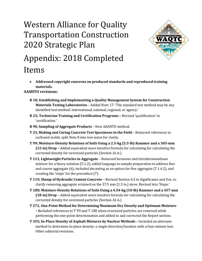## Western Alliance for Quality Transportation Construction 2020 Strategic Plan



# Appendix: 2018 Completed

Items

• **Addressed copyright concerns on produced standards and reproduced training materials.**

**AASHTO revisions:**

- **R 18; Establishing and Implementing a Quality Management System for Construction Materials Testing Laboratories** – Added Note 17: 'The standard test method may be any identified test method: international, national, regional, or agency.'
- **R 25; Technician Training and Certification Programs –** Revised 'qualification' to 'certification.'
- **R 90, Sampling of Aggregate Products** New AASHTO method.
- **T 23, Making and Curing Concrete Test Specimens in the Field** Removed references to carboard molds, split Note 8 into two notes for clarity.
- **T 99; Moisture-Density Relations of Soils Using a 2.5-kg (5.5-lb) Rammer and a 305-mm (12-in) Drop –** Added equivalent more intuitive formula for calculating for calculating the corrected density for oversized particles (Section A1.6.)
- **T 113, Lightweight Particles in Aggregate**  Removed kerosene and tetrabtromoethane mixture for a heavy solution (5.1.2), added language in sample preparation to address fine and coarse aggregate (6), included decanting as an option for fine aggregate (7.1.4.2), and creating the 'steps' for the procedure (7).
- **T 119; Slump of Hydraulic Cement Concrete** Revised Section 4.2 in Significance and Use, to clarify removing aggregate retained on the 37.5 mm [1.5 in.] sieve. Revised into 'Steps.'
- **T 180; Moisture-Density Relations of Soils Using a 4.54-kg (10-lb) Rammer and a 457-mm (18-in) Drop** – Added equivalent more intuitive formula for calculating for calculating the corrected density for oversized particles (Section A1.6.)
- **T 272, One-Point Method for Determining Maximum Dry Density and Optimum Moisture – I**ncluded references to T 99 and T 180 when oversized particles are removed while performing the one-point determination and added to and corrected the Report section.
- **T 355; In-Place Density of Asphalt Mixtures by Nuclear Methods –** Included an alternate method to determine in-place density: a single direction/location with a four-minute test. Other editorial revisions.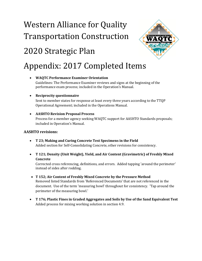# 2020 Strategic Plan



### Appendix: 2017 Completed Items

• **WAQTC Performance Examiner Orientation**  Guidelines: The Performance Examiner reviews and signs at the beginning of the performance exam process; included in the Operation's Manual.

#### • **Reciprocity questionnaire**

Sent to member states for response at least every three years according to the TTQP Operational Agreement; included in the Operations Manual.

#### • **AASHTO Revision Proposal Process**

Process for a member agency seeking WAQTC support for AASHTO Standards proposals; included in Operation's Manual.

#### **AASHTO revisions:**

- **T 23; Making and Curing Concrete Test Specimens in the Field** Added section for Self-Consolidating Concrete, other revisions for consistency.
- **T 121; Density (Unit Weight), Yield, and Air Content (Gravimetric) of Freshly Mixed Concrete**

Corrected cross referencing, definitions, and errors. Added tapping 'around the perimeter' instead of sides after rodding.

- **T 152; Air Content of Freshly Mixed Concrete by the Pressure Method** Removed listed Standards from 'Referenced Documents' that are not referenced in the document. Use of the term 'measuring bowl' throughout for consistency. 'Tap around the perimeter of the measuring bowl.'
- **T 176; Plastic Fines in Graded Aggregates and Soils by Use of the Sand Equivalent Test** Added process for mixing working solution in section 4.9.